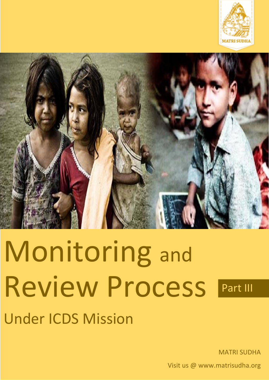



# Monitoring and Review Process **Under ICDS Mission** Part III

MATRI SUDHA

Visit us @ www.matrisudha.org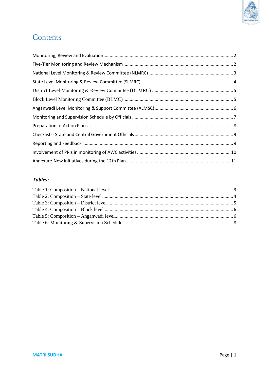

## Contents

#### Tables: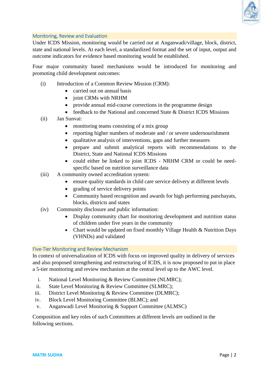

#### <span id="page-2-0"></span>Monitoring, Review and Evaluation

Under ICDS Mission, monitoring would be carried out at Anganwadi/village, block, district, state and national levels. At each level, a standardized format and the set of input, output and outcome indicators for evidence based monitoring would be established.

Four major community based mechanisms would be introduced for monitoring and promoting child development outcomes:

- (i) Introduction of a Common Review Mission (CRM):
	- carried out on annual basis
	- joint CRMs with NRHM
	- provide annual mid-course corrections in the programme design
	- feedback to the National and concerned State & District ICDS Missions
- (ii) Jan Sunvai:
	- monitoring teams consisting of a mix group
	- reporting higher numbers of moderate and / or severe undernourishment
	- qualitative analysis of interventions, gaps and further measures
	- prepare and submit analytical reports with recommendations to the District, State and National ICDS Missions
	- could either be linked to joint ICDS NRHM CRM or could be needspecific based on nutrition surveillance data
- (iii) A community owned accreditation system:
	- ensure quality standards in child care service delivery at different levels
	- grading of service delivery points
	- Community based recognition and awards for high performing panchayats, blocks, districts and states
- (iv) Community disclosure and public information:
	- Display community chart for monitoring development and nutrition status of children under five years in the community
	- Chart would be updated on fixed monthly Village Health & Nutrition Days (VHNDs) and validated

#### <span id="page-2-1"></span>Five-Tier Monitoring and Review Mechanism

In context of universalization of ICDS with focus on improved quality in delivery of services and also proposed strengthening and restructuring of ICDS, it is now proposed to put in place a 5-tier monitoring and review mechanism at the central level up to the AWC level.

- i. National Level Monitoring & Review Committee (NLMRC);
- ii. State Level Monitoring & Review Committee (SLMRC);
- iii. District Level Monitoring & Review Committee (DLMRC);
- iv. Block Level Monitoring Committee (BLMC); and
- v. Anganwadi Level Monitoring & Support Committee (ALMSC)

<span id="page-2-2"></span>Composition and key roles of such Committees at different levels are outlined in the following sections.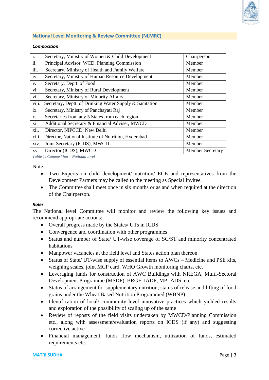

#### **National Level Monitoring & Review Committee (NLMRC)**

#### *Composition*

| $\mathbf{i}$ .            | Secretary, Ministry of Women & Child Development        | Chairperson             |
|---------------------------|---------------------------------------------------------|-------------------------|
| ii.                       | Principal Advisor, WCD, Planning Commission             | Member                  |
| $\overline{\text{iii}}$ . | Secretary, Ministry of Health and Family Welfare        | Member                  |
| iv.                       | Secretary, Ministry of Human Resource Development       | Member                  |
| V.                        | Secretary, Deptt. of Food                               | Member                  |
| vi.                       | Secretary, Ministry of Rural Development                | Member                  |
| vii.                      | Secretary, Ministry of Minority Affairs                 | Member                  |
| viii.                     | Secretary, Deptt. of Drinking Water Supply & Sanitation | Member                  |
| ix.                       | Secretary, Ministry of Panchayati Raj                   | Member                  |
| X.                        | Secretaries from any 5 States from each region          | Member                  |
| xi.                       | Additional Secretary & Financial Adviser, MWCD          | Member                  |
| xii.                      | Director, NIPCCD, New Delhi                             | Member                  |
| xiii.                     | Director, National Institute of Nutrition, Hyderabad    | Member                  |
| xiv.                      | Joint Secretary (ICDS), MWCD                            | Member                  |
| XV.                       | Director (ICDS), MWCD                                   | <b>Member Secretary</b> |

<span id="page-3-0"></span>*Table 1: Composition – National level*

#### Note:

- Two Experts on child development/ nutrition/ ECE and representatives from the Development Partners may be called to the meeting as Special Invitee.
- The Committee shall meet once in six months or as and when required at the direction of the Chairperson.

#### *Roles*

The National level Committee will monitor and review the following key issues and recommend appropriate actions:

- Overall progress made by the States/ UTs in ICDS
- Convergence and coordination with other programmes
- Status and number of State/ UT-wise coverage of SC/ST and minority concentrated habitations
- Manpower vacancies at the field level and States action plan thereon
- Status of State/ UT-wise supply of essential items to AWCs Medicine and PSE kits, weighing scales, joint MCP card, WHO Growth monitoring charts, etc.
- Leveraging funds for construction of AWC Buildings with NREGA, Multi-Sectoral Development Programme (MSDP), BRGF, IADP, MPLADS, etc.
- Status of arrangement for supplementary nutrition; status of release and lifting of food grains under the Wheat Based Nutrition Programmed (WBNP)
- Identification of local/ community level innovative practices which yielded results and exploration of the possibility of scaling up of the same
- Review of reposts of the field visits undertaken by MWCD/Planning Commission etc., along with assessment/evaluation reports on ICDS (if any) and suggesting corrective active
- Financial management: funds flow mechanism, utilization of funds, estimated requirements etc.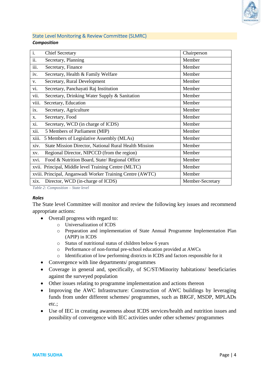

#### <span id="page-4-0"></span>State Level Monitoring & Review Committee (SLMRC) *Composition*

| $\overline{i}$ . | <b>Chief Secretary</b>                                    | Chairperson      |
|------------------|-----------------------------------------------------------|------------------|
| ii.              | Secretary, Planning                                       | Member           |
| iii.             | Secretary, Finance                                        | Member           |
| iv.              | Secretary, Health & Family Welfare                        | Member           |
| V.               | Secretary, Rural Development                              | Member           |
| vi.              | Secretary, Panchayati Raj Institution                     | Member           |
| vii.             | Secretary, Drinking Water Supply & Sanitation             | Member           |
| viii.            | Secretary, Education                                      | Member           |
| ix.              | Secretary, Agriculture                                    | Member           |
| X.               | Secretary, Food                                           | Member           |
| xi.              | Secretary, WCD (in charge of ICDS)                        | Member           |
| xii.             | 5 Members of Parliament (MIP)                             | Member           |
| xiii.            | 5 Members of Legislative Assembly (MLAs)                  | Member           |
| xiv.             | State Mission Director, National Rural Health Mission     | Member           |
| XV.              | Regional Director, NIPCCD (from the region)               | Member           |
| xvi.             | Food & Nutrition Board, State/ Regional Office            | Member           |
|                  | xvii. Principal, Middle level Training Centre (MLTC)      | Member           |
|                  | xviii. Principal, Anganwadi Worker Training Centre (AWTC) | Member           |
| xix.             | Director, WCD (in-charge of ICDS)                         | Member-Secretary |

<span id="page-4-1"></span>*Table 2: Composition – State level*

#### *Roles*

The State level Committee will monitor and review the following key issues and recommend appropriate actions:

- Overall progress with regard to:
	- o Universalization of ICDS
	- o Preparation and implementation of State Annual Programme Implementation Plan (APIP) in ICDS
	- o Status of nutritional status of children below 6 years
	- o Performance of non-formal pre-school education provided at AWCs
	- o Identification of low performing districts in ICDS and factors responsible for it
- Convergence with line departments/ programmes
- Coverage in general and, specifically, of SC/ST/Minority habitations/ beneficiaries against the surveyed population
- Other issues relating to programme implementation and actions thereon
- Improving the AWC Infrastructure: Construction of AWC buildings by leveraging funds from under different schemes/ programmes, such as BRGF, MSDP, MPLADs etc.;
- Use of IEC in creating awareness about ICDS services/health and nutrition issues and possibility of convergence with IEC activities under other schemes/ programmes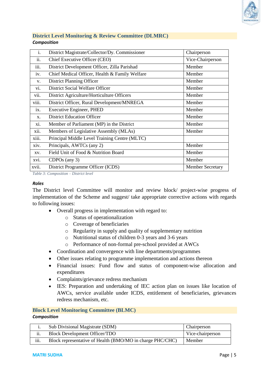

#### <span id="page-5-0"></span>**District Level Monitoring & Review Committee (DLMRC)**  *Composition*

| $\mathbf{i}$ . | District Magistrate/Collector/Dy. Commissioner | Chairperson             |
|----------------|------------------------------------------------|-------------------------|
| ii.            | Chief Executive Officer (CEO)                  | Vice-Chairperson        |
| 111.           | District Development Officer, Zilla Parishad   | Member                  |
| iv.            | Chief Medical Officer, Health & Family Welfare | Member                  |
| V.             | District Planning Officer                      | Member                  |
| V1.            | District Social Welfare Officer                | Member                  |
| vii.           | District Agriculture/Horticulture Officers     | Member                  |
| viii.          | District Officer, Rural Development/MNREGA     | Member                  |
| ix.            | <b>Executive Engineer, PHED</b>                | Member                  |
| $X$ .          | <b>District Education Officer</b>              | Member                  |
| xi.            | Member of Parliament (MP) in the District      | Member                  |
| xii.           | Members of Legislative Assembly (MLAs)         | Member                  |
| xiii.          | Principal Middle Level Training Centre (MLTC)  |                         |
| xiv.           | Principals, AWTCs (any 2)                      | Member                  |
| XV.            | Field Unit of Food & Nutrition Board           | Member                  |
| xvi.           | $CDPOs$ (any 3)                                | Member                  |
| xvii.          | District Programme Officer (ICDS)              | <b>Member Secretary</b> |

<span id="page-5-2"></span>*Table 3: Composition – District level*

#### *Roles*

The District level Committee will monitor and review block/ project-wise progress of implementation of the Scheme and suggest/ take appropriate corrective actions with regards to following issues:

- Overall progress in implementation with regard to:
	- o Status of operationalization
	- o Coverage of beneficiaries
	- o Regularity in supply and quality of supplementary nutrition
	- o Nutritional status of children 0-3 years and 3-6 years
	- o Performance of non-formal pre-school provided at AWCs
- Coordination and convergence with line departments/programmes
- Other issues relating to programme implementation and actions thereon
- Financial issues: Fund flow and status of component-wise allocation and expenditures
- Complaints/grievance redress mechanism
- IES: Preparation and undertaking of IEC action plan on issues like location of AWCs, service available under ICDS, entitlement of beneficiaries, grievances redress mechanism, etc.

#### <span id="page-5-1"></span>**Block Level Monitoring Committee (BLMC)**  *Composition*

|      | Sub Divisional Magistrate (SDM)                           | Chairperson      |
|------|-----------------------------------------------------------|------------------|
| ii.  | <b>Block Development Officer/TDO</b>                      | Vice-chairperson |
| iii. | Block representative of Health (BMO/MO in charge PHC/CHC) | Member           |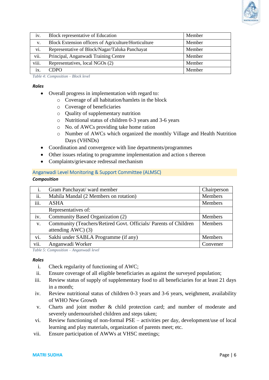

| iv.         | Block representative of Education                    | Member |
|-------------|------------------------------------------------------|--------|
| $V_{\star}$ | Block Extension officers of Agriculture/Horticulture | Member |
| vi.         | Representative of Block/Nagar/Taluka Panchayat       | Member |
| vii.        | Principal, Anganwadi Training Centre                 | Member |
| viii.       | Representatives, local NGOs (2)                      | Member |
| ix          | <b>CDPO</b>                                          | Member |

<span id="page-6-1"></span>*Table 4: Composition – Block level*

#### *Roles*

- Overall progress in implementation with regard to:
	- o Coverage of all habitation/hamlets in the block
		- o Coverage of beneficiaries
	- o Quality of supplementary nutrition
	- o Nutritional status of children 0-3 years and 3-6 years
	- o No. of AWCs providing take home ration
	- o Number of AWCs which organized the monthly Village and Health Nutrition Days (VHNDs)
- Coordination and convergence with line departments/programmes
- Other issues relating to programme implementation and action s thereon
- Complaints/grievance redressal mechanism

#### <span id="page-6-0"></span>Anganwadi Level Monitoring & Support Committee (ALMSC) *Composition*

| $\mathbf{i}$ . | Gram Panchayat/ ward member                                     | Chairperson    |
|----------------|-----------------------------------------------------------------|----------------|
| ii.            | Mahila Mandal (2 Members on rotation)                           | Members        |
| iii.           | <b>ASHA</b>                                                     | Members        |
|                | Representatives of:                                             |                |
| iv.            | Community Based Organization (2)                                | <b>Members</b> |
| V.             | Community (Teachers/Retired Govt. Officials/Parents of Children | <b>Members</b> |
|                | attending $AWC$ (3)                                             |                |
| vi.            | Sakhi under SABLA Programme (if any)                            | <b>Members</b> |
| vii.           | Anganwadi Worker                                                | Convener       |
|                |                                                                 |                |

<span id="page-6-2"></span>*Table 5: Composition – Anganwadi level*

#### *Roles*

- i. Check regularity of functioning of AWC;
- ii. Ensure coverage of all eligible beneficiaries as against the surveyed population;
- iii. Review status of supply of supplementary food to all beneficiaries for at least 21 days in a month;
- iv. Review nutritional status of children 0-3 years and 3-6 years, weighment, availability of WHO New Growth
- v. Charts and joint mother & child protection card; and number of moderate and severely undernourished children and steps taken;
- vi. Review functioning of non-formal PSE activities per day, development/use of local learning and play materials, organization of parents meet; etc.
- vii. Ensure participation of AWWs at VHSC meetings;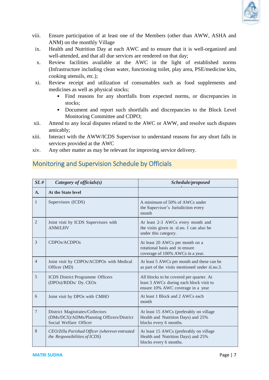

- viii. Ensure participation of at least one of the Members (other than AWW, ASHA and ANM) on the monthly Village
	- ix. Health and Nutrition Day at each AWC and to ensure that it is well-organized and well-attended, and that all due services are rendered on that day;
	- x. Review facilities available at the AWC in the light of established norms (Infrastructure including clean water, functioning toilet, play area, PSE/medicine kits, cooking utensils, etc.);
	- xi. Review receipt and utilization of consumables such as food supplements and medicines as well as physical stocks;
		- Find reasons for any shortfalls from expected norms, or discrepancies in stocks:
		- Document and report such shortfalls and discrepancies to the Block Level Monitoring Committee and CDPO;
- xii. Attend to any local disputes related to the AWC or AWW, and resolve such disputes amicably;
- xiii. Interact with the AWW/ICDS Supervisor to understand reasons for any short falls in services provided at the AWC
- xiv. Any other matter as may be relevant for improving service delivery.

## <span id="page-7-0"></span>Monitoring and Supervision Schedule by Officials

| SL#            | Category of officials $(s)$                                                                            | Schedule/proposed                                                                                                        |
|----------------|--------------------------------------------------------------------------------------------------------|--------------------------------------------------------------------------------------------------------------------------|
| $\mathbf{A}$ . | <b>At the State level</b>                                                                              |                                                                                                                          |
| $\mathbf{1}$   | Supervisors (ICDS)                                                                                     | A minimum of 50% of AWCs under<br>the Supervisor's Jurisdiction every<br>month                                           |
| $\overline{2}$ | Joint visit by ICDS Supervisors with<br><b>ANM/LHV</b>                                                 | At least 2-3 AWCs every month and<br>the visits given in sl.no. I can also be<br>under this category.                    |
| 3              | CDPOs/ACDPOs                                                                                           | At least 20 AWCs per month on a<br>rotational basis and to ensure<br>coverage of 100% AWCs in a year.                    |
| $\overline{4}$ | Joint visit by CDPOs/ACDPOs with Medical<br>Officer (MD)                                               | At least 5 AWCs per month and these can be<br>as part of the visits mentioned under sl.no.3.                             |
| 5              | <b>ICDS</b> District Programme Officers<br>(DPOs)/RDDs/ Dy. CEOs                                       | All blocks to be covered per quarter. At<br>least 3 AWCs during each block visit to<br>ensure 10% AWC coverage in a year |
| 6              | Joint visit by DPOs with CMHO                                                                          | At least 1 Block and 2 AWCs each<br>month                                                                                |
| $\overline{7}$ | District Magistrates/Collectors<br>(DMs/DCS)/ADMs/Planning Officers/District<br>Social Welfare Officer | At least 15 AWCs (preferably on village<br>Health and Nutrition Days) and 25%<br>blocks every 6 months.                  |
| 8              | CEO/Zilla Parishad Officer (wherever entrusted<br>the Responsibilities of ICDS)                        | At least 15 AWCs (preferably on village<br>Health and Nutrition Days) and 25%<br>blocks every 6 months.                  |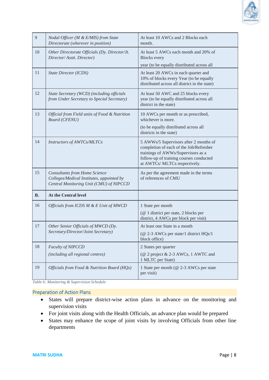

| $\overline{9}$ | Nodal Officer (M & E/MIS) from State<br>Directorate (wherever in position)                                                   | At least 10 AWCs and 2 Blocks each<br>month.                                                                                                                                                        |
|----------------|------------------------------------------------------------------------------------------------------------------------------|-----------------------------------------------------------------------------------------------------------------------------------------------------------------------------------------------------|
| 10             | Other Directorate Officials (Dy. Director/Jt.<br>Director/Asstt. Director)                                                   | At least 5 AWCs each month and 20% of<br><b>Blocks</b> every<br>year (to be equally distributed across all                                                                                          |
| 11             | <b>State Director (ICDS)</b>                                                                                                 | At least 20 AWCs in each quarter and<br>10% of blocks every Year (to be equally<br>distributed across all district in the state)                                                                    |
| 12             | State Secretary (WCD) (including officials<br>from Under Secretary to Special Secretary)                                     | At least 50 AWC and 25 blocks every<br>year (to be equally distributed across all<br>district in the state)                                                                                         |
| 13             | Official from Field units of Food & Nutrition<br><b>Board (CFENU)</b>                                                        | 10 AWCs per month or as prescribed,<br>whichever is more.<br>(to be equally distributed across all<br>districts in the state)                                                                       |
| 14             | Instructors of AWTCs/MLTCs                                                                                                   | 5 AWWs/5 Supervisors after 2 months of<br>completion of each of the Job/Refresher<br>trainings of AWWs/Supervisors as a<br>follow-up of training courses conducted<br>at AWTCs/ MLTCs respectively. |
| 15             | <b>Consultants from Home Science</b><br>Colleges/Medical Institutes, appointed by<br>Central Monitoring Unit (CMU) of NIPCCD | As per the agreement made in the terms<br>of references of CMU                                                                                                                                      |
| <b>B.</b>      | At the Central level                                                                                                         |                                                                                                                                                                                                     |
| 16             | Officials from ICDS M & E Unit of MWCD                                                                                       | 1 State per month<br>(@ 1 district per state, 2 blocks per<br>district, 4 AWCs per block per visit)                                                                                                 |
| 17             | Other Senior Officials of MWCD (Dy.<br>Secretary/Director/Joint Secretary)                                                   | At least one State in a month<br>(@ 2-3 AWCs per state/1 district HQs/1<br>block office)                                                                                                            |
| 18             | Faculty of NIPCCD<br>(including all regional centres)                                                                        | 2 States per quarter<br>(@ 2 project & 2-3 AWCs, 1 AWTC and<br>1 MLTC per State)                                                                                                                    |
| 19             | Officials from Food & Nutrition Board (HQs)                                                                                  | 1 State per month (@ 2-3 AWCs per state<br>per visit)                                                                                                                                               |

<span id="page-8-1"></span>*Table 6: Monitoring & Supervision Schedule*

#### <span id="page-8-0"></span>Preparation of Action Plans

- States will prepare district-wise action plans in advance on the monitoring and supervision visits
- For joint visits along with the Health Officials, an advance plan would be prepared
- States may enhance the scope of joint visits by involving Officials from other line departments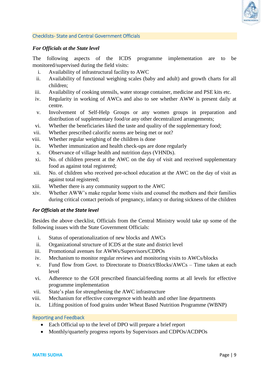

#### <span id="page-9-0"></span>Checklists- State and Central Government Officials

#### *For Officials at the State level*

The following aspects of the ICDS programme implementation are to be monitored/supervised during the field visits:

- i. Availability of infrastructural facility to AWC
- ii. Availability of functional weighing scales (baby and adult) and growth charts for all children;
- iii. Availability of cooking utensils, water storage container, medicine and PSE kits etc.
- iv. Regularity in working of AWCs and also to see whether AWW is present daily at centre.
- v. Involvement of Self-Help Groups or any women groups in preparation and distribution of supplementary food/or any other decentralized arrangements;
- vi. Whether the beneficiaries liked the taste and quality of the supplementary food;
- vii. Whether prescribed calorific norms are being met or not?
- viii. Whether regular weighing of the children is done
- ix. Whether immunization and health check-ups are done regularly
- x. Observance of village health and nutrition days (VHNDs).
- xi. No. of children present at the AWC on the day of visit and received supplementary food as against total registered;
- xii. No. of children who received pre-school education at the AWC on the day of visit as against total registered;
- xiii. Whether there is any community support to the AWC
- xiv. Whether AWW's make regular home visits and counsel the mothers and their families during critical contact periods of pregnancy, infancy or during sickness of the children

#### *For Officials at the State level*

Besides the above checklist, Officials from the Central Ministry would take up some of the following issues with the State Government Officials:

- i. Status of operationalization of new blocks and AWCs
- ii. Organizational structure of ICDS at the state and district level
- iii. Promotional avenues for AWWs/Supervisors/CDPOs
- iv. Mechanism to monitor regular reviews and monitoring visits to AWCs/blocks
- v. Fund flow from Govt. to Directorate to District/Blocks/AWCs Time taken at each level
- vi. Adherence to the GOI prescribed financial/feeding norms at all levels for effective programme implementation
- vii. State's plan for strengthening the AWC infrastructure
- viii. Mechanism for effective convergence with health and other line departments
- ix. Lifting position of food grains under Wheat Based Nutrition Programme (WBNP)

#### <span id="page-9-1"></span>Reporting and Feedback

- Each Official up to the level of DPO will prepare a brief report
- Monthly/quarterly progress reports by Supervisors and CDPOs/ACDPOs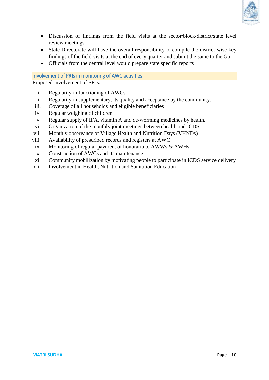

- Discussion of findings from the field visits at the sector/block/district/state level review meetings
- State Directorate will have the overall responsibility to compile the district-wise key findings of the field visits at the end of every quarter and submit the same to the GoI
- Officials from the central level would prepare state specific reports

#### <span id="page-10-0"></span>Involvement of PRIs in monitoring of AWC activities

Proposed involvement of PRIs:

- i. Regularity in functioning of AWCs
- ii. Regularity in supplementary, its quality and acceptance by the community.
- iii. Coverage of all households and eligible beneficiaries
- iv. Regular weighing of children
- v. Regular supply of IFA, vitamin A and de-worming medicines by health.
- vi. Organization of the monthly joint meetings between health and ICDS
- vii. Monthly observance of Village Health and Nutrition Days (VHNDs)
- viii. Availability of prescribed records and registers at AWC
- ix. Monitoring of regular payment of honoraria to AWWs & AWHs
- x. Construction of AWCs and its maintenance
- xi. Community mobilization by motivating people to participate in ICDS service delivery
- xii. Involvement in Health, Nutrition and Sanitation Education